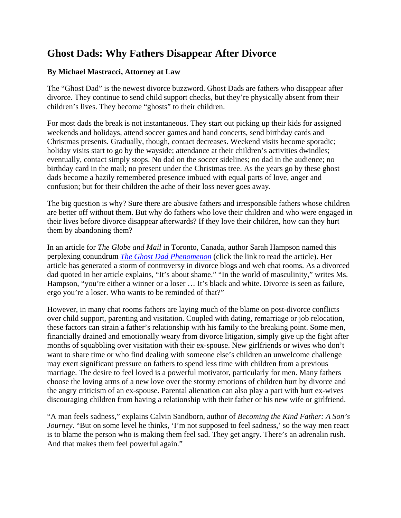## **Ghost Dads: Why Fathers Disappear After Divorce**

## **By Michael Mastracci, Attorney at Law**

The "Ghost Dad" is the newest divorce buzzword. [Ghost Dads are fathers w](http://dadsdivorce.com/news/article.php?artid=42637)ho disappear after divorce. They continue to send child support checks, but they're physically absent from their children's lives. They become "ghosts" to their children.

For most dads the break is not instantaneous. They start out picking up their kids for assigned weekends and holidays, attend soccer games and band concerts, send birthday cards and Christmas presents. Gradually, though, contact decreases. Weekend visits become sporadic; holiday visits start to go by the wayside; attendance at their children's activities dwindles; eventually, contact simply stops. No dad on the soccer sidelines; no dad in the audience; no birthday card in the mail; no present under the Christmas tree. As the years go by these ghost dads become a hazily remembered presence imbued with equal parts of love, anger and confusion; but for their children the ache of their loss never goes away.

The big question is why? Sure there are abusive fathers and irresponsible fathers whose children are better off without them. But why do fathers who love their children and who were engaged in their lives before divorce disappear afterwards? If they love their children, how can they hurt them by abandoning them?

In an article for *The Globe and Mail* in Toronto, Canada, author Sarah Hampson named this perplexing conundrum *[The Ghost Dad Phenomenon](http://www.theglobeandmail.com/servlet/story/RTGAM.20080117.wlgenex17/BNStory/lifeFamily/?page=rss&id=RTGAM.20080117.wlgenex17)* (click the link to read the article). Her article has generated a storm of controversy in divorce blogs and web chat rooms. As a divorced dad quoted in her article explains, "It's about shame." "In the world of masculinity," writes Ms. Hampson, "you're either a winner or a loser … It's black and white. Divorce is seen as failure, ergo you're a loser. Who wants to be reminded of that?"

However, in many chat rooms fathers are laying much of the blame on post-divorce conflicts over child support, parenting and visitation. Coupled with dating, remarriage or job relocation, these factors can strain a father's relationship with his family to the breaking point. Some men, financially drained and emotionally weary from divorce litigation, simply give up the fight after months of squabbling over visitation with their ex-spouse. New girlfriends or wives who don't want to share time or who find dealing with someone else's children an unwelcome challenge may exert significant pressure on fathers to spend less time with children from a previous marriage. The desire to feel loved is a powerful motivator, particularly for men. Many fathers choose the loving arms of a new love over the stormy emotions of children hurt by divorce and the angry criticism of an ex-spouse. Parental alienation can also play a part with hurt ex-wives discouraging children from having a relationship with their father or his new wife or girlfriend.

"A man feels sadness," explains Calvin Sandborn, author of *Becoming the Kind Father: A Son's Journey*. "But on some level he thinks, 'I'm not supposed to feel sadness,' so the way men react is to blame the person who is making them feel sad. They get angry. There's an adrenalin rush. And that makes them feel powerful again."